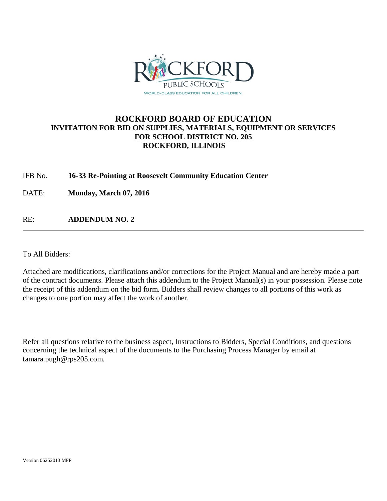

## **ROCKFORD BOARD OF EDUCATION INVITATION FOR BID ON SUPPLIES, MATERIALS, EQUIPMENT OR SERVICES FOR SCHOOL DISTRICT NO. 205 ROCKFORD, ILLINOIS**

## IFB No. **16-33 Re-Pointing at Roosevelt Community Education Center**

DATE: **Monday, March 07, 2016**

RE: **ADDENDUM NO. 2**

To All Bidders:

Attached are modifications, clarifications and/or corrections for the Project Manual and are hereby made a part of the contract documents. Please attach this addendum to the Project Manual(s) in your possession. Please note the receipt of this addendum on the bid form. Bidders shall review changes to all portions of this work as changes to one portion may affect the work of another.

Refer all questions relative to the business aspect, Instructions to Bidders, Special Conditions, and questions concerning the technical aspect of the documents to the Purchasing Process Manager by email at tamara.pugh@rps205.com.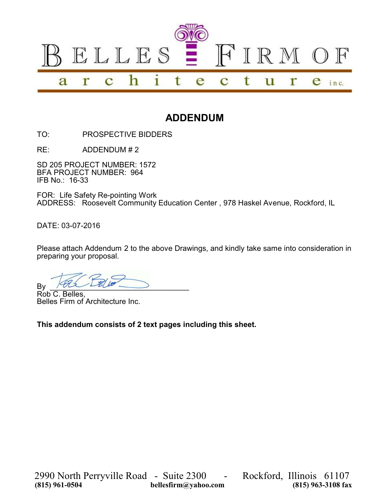

## **ADDENDUM**

TO: PROSPECTIVE BIDDERS

RE: ADDENDUM # 2

SD 205 PROJECT NUMBER: 1572 BFA PROJECT NUMBER: 964 IFB No.: 16-33

FOR: Life Safety Re-pointing Work ADDRESS: Roosevelt Community Education Center , 978 Haskel Avenue, Rockford, IL

DATE: 03-07-2016

Please attach Addendum 2 to the above Drawings, and kindly take same into consideration in preparing your proposal.

 $By$   $\sim$ 

Rob C. Belles, Belles Firm of Architecture Inc.

**This addendum consists of 2 text pages including this sheet.**